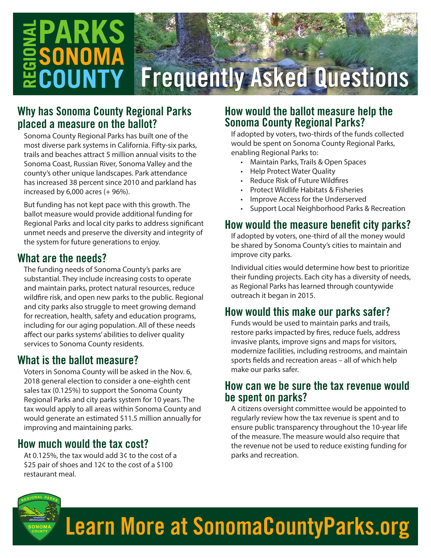# **PARKS**  $\bar{=}$ SONOM

## Frequently Asked Questions

### Why has Sonoma County Regional Parks placed a measure on the ballot?

Sonoma County Regional Parks has built one of the most diverse park systems in California. Fifty-six parks, trails and beaches attract 5 million annual visits to the Sonoma Coast, Russian River, Sonoma Valley and the county's other unique landscapes. Park attendance has increased 38 percent since 2010 and parkland has increased by  $6,000$  acres  $(+96%)$ .

But funding has not kept pace with this growth. The ballot measure would provide additional funding for Regional Parks and local city parks to address significant unmet needs and preserve the diversity and integrity of the system for future generations to enjoy.

### What are the needs?

The funding needs of Sonoma County's parks are substantial. They include increasing costs to operate and maintain parks, protect natural resources, reduce wildfire risk, and open new parks to the public. Regional and city parks also struggle to meet growing demand for recreation, health, safety and education programs, including for our aging population. All of these needs affect our parks systems' abilities to deliver quality services to Sonoma County residents.

### What is the ballot measure?

Voters in Sonoma County will be asked in the Nov. 6, 2018 general election to consider a one-eighth cent sales tax (0.125%) to support the Sonoma County Regional Parks and city parks system for 10 years. The tax would apply to all areas within Sonoma County and would generate an estimated \$11.5 million annually for improving and maintaining parks.

### How much would the tax cost?

At 0.125%, the tax would add 3¢ to the cost of a \$25 pair of shoes and 12¢ to the cost of a \$100 restaurant meal.

### How would the ballot measure help the Sonoma County Regional Parks?

If adopted by voters, two-thirds of the funds collected would be spent on Sonoma County Regional Parks, enabling Regional Parks to:

- Maintain Parks, Trails & Open Spaces
- Help Protect Water Quality
- Reduce Risk of Future Wildfires
- Protect Wildlife Habitats & Fisheries
- Improve Access for the Underserved
- Support Local Neighborhood Parks & Recreation

### How would the measure benefit city parks?

If adopted by voters, one-third of all the money would be shared by Sonoma County's cities to maintain and improve city parks.

Individual cities would determine how best to prioritize their funding projects. Each city has a diversity of needs, as Regional Parks has learned through countywide outreach it began in 2015.

### How would this make our parks safer?

Funds would be used to maintain parks and trails, restore parks impacted by fires, reduce fuels, address invasive plants, improve signs and maps for visitors, modernize facilities, including restrooms, and maintain sports fields and recreation areas – all of which help make our parks safer.

### How can we be sure the tax revenue would be spent on parks?

A citizens oversight committee would be appointed to regularly review how the tax revenue is spent and to ensure public transparency throughout the 10-year life of the measure. The measure would also require that the revenue not be used to reduce existing funding for parks and recreation.



### Learn More at SonomaCountyParks.org